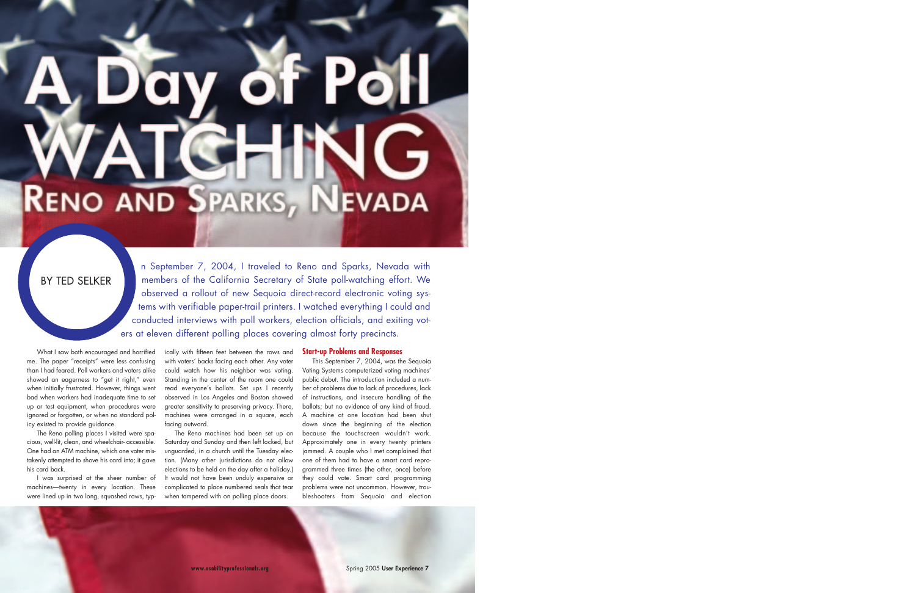n September 7, 2004, I traveled to Reno and Sparks, Nevada with members of the California Secretary of State poll-watching effort. We observed a rollout of new Sequoia direct-record electronic voting systems with verifiable paper-trail printers. I watched everything I could and conducted interviews with poll workers, election officials, and exiting voters at eleven different polling places covering almost forty precincts.

# **RENO AND SPARKS, NEVADA**

# BY TED SELKER

What I saw both encouraged and horrified me. The paper "receipts" were less confusing than I had feared. Poll workers and voters alike showed an eagerness to "get it right," even when initially frustrated. However, things went bad when workers had inadequate time to set up or test equipment, when procedures were ignored or forgotten, or when no standard policy existed to provide guidance.

The Reno polling places I visited were spacious, well-lit, clean, and wheelchair- accessible. One had an ATM machine, which one voter mistakenly attempted to shove his card into; it gave his card back.

I was surprised at the sheer number of machines—twenty in every location. These were lined up in two long, squashed rows, typ-

ically with fifteen feet between the rows and with voters' backs facing each other. Any voter could watch how his neighbor was voting. Standing in the center of the room one could read everyone's ballots. Set ups I recently observed in Los Angeles and Boston showed greater sensitivity to preserving privacy. There, machines were arranged in a square, each facing outward.

The Reno machines had been set up on Saturday and Sunday and then left locked, but unguarded, in a church until the Tuesday election. (Many other jurisdictions do not allow elections to be held on the day after a holiday.) It would not have been unduly expensive or complicated to place numbered seals that tear when tampered with on polling place doors.

### **Start-up Problems and Responses**

This September 7, 2004, was the Sequoia Voting Systems computerized voting machines' public debut. The introduction included a number of problems due to lack of procedures, lack of instructions, and insecure handling of the ballots; but no evidence of any kind of fraud. A machine at one location had been shut down since the beginning of the election because the touchscreen wouldn't work. Approximately one in every twenty printers jammed. A couple who I met complained that one of them had to have a smart card reprogrammed three times (the other, once) before they could vote. Smart card programming problems were not uncommon. However, troubleshooters from Sequoia and election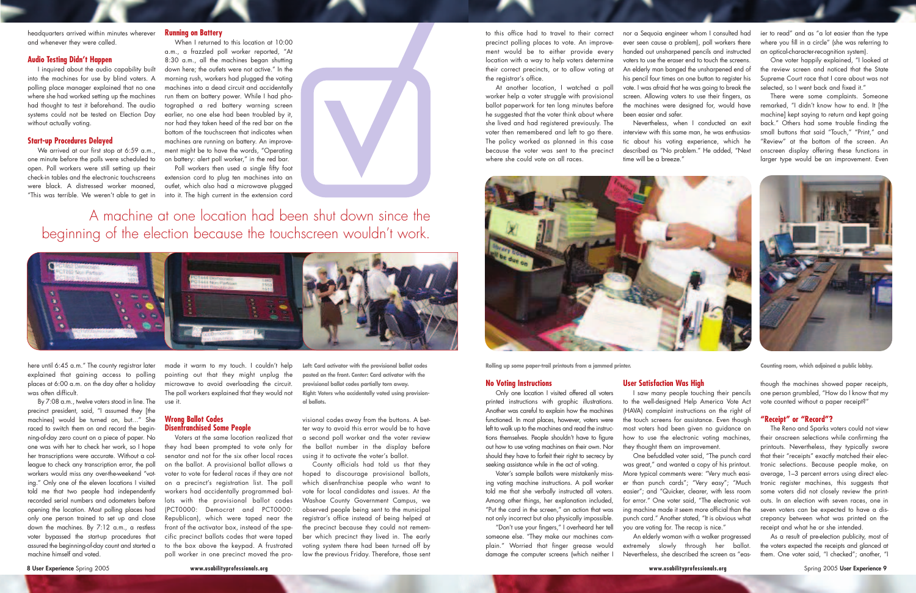### **No Voting Instructions**

Only one location I visited offered all voters printed instructions with graphic illustrations. Another was careful to explain how the machines functioned. In most places, however, voters were left to walk up to the machines and read the instructions themselves. People shouldn't have to figure out how to use voting machines on their own. Nor should they have to forfeit their right to secrecy by seeking assistance while in the act of voting.

Voter's sample ballots were mistakenly missing voting machine instructions. A poll worker told me that she verbally instructed all voters. Among other things, her explanation included, "Put the card in the screen," an action that was not only incorrect but also physically impossible.

"Don't use your fingers," I overheard her tell someone else. "They make our machines complain." Worried that finger grease would damage the computer screens (which neither I

### **User Satisfaction Was High**

I saw many people touching their pencils to the well-designed Help America Vote Act (HAVA) complaint instructions on the right of the touch screens for assistance. Even though most voters had been given no guidance on how to use the electronic voting machines, they thought them an improvement.

One befuddled voter said, "The punch card was great," and wanted a copy of his printout. More typical comments were: "Very much easier than punch cards"; "Very easy"; "Much easier"; and "Quicker, clearer, with less room for error." One voter said, "The electronic voting machine made it seem more official than the punch card." Another stated, "It is obvious what you are voting for. The recap is nice."

An elderly woman with a walker progressed extremely slowly through her ballot. Nevertheless, she described the screen as "eas-

though the machines showed paper receipts, one person grumbled, "How do I know that my vote counted without a paper receipt?"

### **"Receipt" or "Record"?**

One voter happily explained, "I looked at the review screen and noticed that the State Supreme Court race that I care about was not selected, so I went back and fixed it.'

The Reno and Sparks voters could not view their onscreen selections while confirming the printouts. Nevertheless, they typically swore that their "receipts" exactly matched their electronic selections. Because people make, on average, 1–3 percent errors using direct electronic register machines, this suggests that some voters did not closely review the printouts. In an election with seven races, one in seven voters can be expected to have a discrepancy between what was printed on the receipt and what he or she intended.

As a result of pre-election publicity, most of the voters expected the receipts and glanced at them. One voter said, "I checked"; another, "I

When I returned to this location at 10:00 a.m., a frazzled poll worker reported, "At 8:30 a.m., all the machines began shutting down here; the outlets were not active." In the morning rush, workers had plugged the voting machines into a dead circuit and accidentally run them on battery power. While I had photographed a red battery warning screen earlier, no one else had been troubled by it, nor had they taken heed of the red bar on the bottom of the touchscreen that indicates when machines are running on battery. An improvement might be to have the words, "Operating on battery: alert poll worker," in the red bar.

Poll workers then used a single fifty foot extension cord to plug ten machines into an outlet, which also had a microwave plugged into it. The high current in the extension cord

**Rolling up some paper-trail printouts from a jammed printer. Counting room, which adjoined a public lobby.**

I inquired about the audio capability built into the machines for use by blind voters. A polling place manager explained that no one where she had worked setting up the machines had thought to test it beforehand. The audio systems could not be tested on Election Day without actually voting.

to this office had to travel to their correct precinct polling places to vote. An improvement would be to either provide every location with a way to help voters determine their correct precincts, or to allow voting at the registrar's office.

We arrived at our first stop at 6:59 a.m., one minute before the polls were scheduled to open. Poll workers were still setting up their check-in tables and the electronic touchscreens were black. A distressed worker moaned, "This was terrible. We weren't able to get in

At another location, I watched a poll worker help a voter struggle with provisional ballot paperwork for ten long minutes before he suggested that the voter think about where she lived and had registered previously. The voter then remembered and left to go there. The policy worked as planned in this case because the voter was sent to the precinct where she could vote on all races.



here until 6:45 a.m." The county reaistrar later explained that gaining access to polling places at 6:00 a.m. on the day after a holiday was often difficult.

nor a Sequoia engineer whom I consulted had ever seen cause a problem), poll workers there handed out unsharpened pencils and instructed voters to use the eraser end to touch the screens. An elderly man banged the unsharpened end of his pencil four times on one button to register his vote. I was afraid that he was going to break the screen. Allowing voters to use their fingers, as the machines were designed for, would have been easier and safer.

Nevertheless, when I conducted an exit interview with this same man, he was enthusiastic about his voting experience, which he described as "No problem." He added, "Next time will be a breeze."

ier to read" and as "a lot easier than the type where you fill in a circle" (she was referring to an optical-character-recognition system).

There were some complaints. Someone remarked, "I didn't know how to end. It [the machine] kept saying to return and kept going back." Others had some trouble finding the small buttons that said "Touch," "Print," and "Review" at the bottom of the screen. An onscreen display offering these functions in larger type would be an improvement. Even



### **Running on Battery**

headquarters arrived within minutes wherever and whenever they were called.

### **Audio Testing Didn't Happen**

## **Start-up Procedures Delayed**

By 7:08 a.m., twelve voters stood in line. The precinct president, said, "I assumed they [the machines] would be turned on, but…" She raced to switch them on and record the beginning-of-day zero count on a piece of paper. No one was with her to check her work, so I hope her transcriptions were accurate. Without a colleague to check any transcription error, the poll workers would miss any over-the-weekend "voting." Only one of the eleven locations I visited told me that two people had independently recorded serial numbers and odometers before opening the location. Most polling places had only one person trained to set up and close down the machines. By 7:12 a.m., a restless voter bypassed the start-up procedures that assured the beginning-of-day count and started a machine himself and voted.

A machine at one location had been shut down since the beginning of the election because the touchscreen wouldn't work.



made it warm to my touch. I couldn't help pointing out that they might unplug the microwave to avoid overloading the circuit. The poll workers explained that they would not use it.

## **Wrong Ballot Codes Disenfranchised Some People**

Voters at the same location realized that they had been prompted to vote only for senator and not for the six other local races on the ballot. A provisional ballot allows a voter to vote for federal races if they are not on a precinct's registration list. The poll workers had accidentally programmed ballots with the provisional ballot codes (PCT0000: Democrat and PCT0000: Republican), which were taped near the front of the activator box, instead of the specific precinct ballots codes that were taped to the box above the keypad. A frustrated poll worker in one precinct moved the pro-

visional codes away from the buttons. A better way to avoid this error would be to have a second poll worker and the voter review the ballot number in the display before using it to activate the voter's ballot.

County officials had told us that they hoped to discourage provisional ballots, which disenfranchise people who want to vote for local candidates and issues. At the Washoe County Government Campus, we observed people being sent to the municipal registrar's office instead of being helped at the precinct because they could not remember which precinct they lived in. The early voting system there had been turned off by law the previous Friday. Therefore, those sent

**Left: Card activator with the provisional ballot codes pasted on the front. Center: Card activator with the provisional ballot codes partially torn away. Right: Voters who accidentally voted using provisional ballots.**